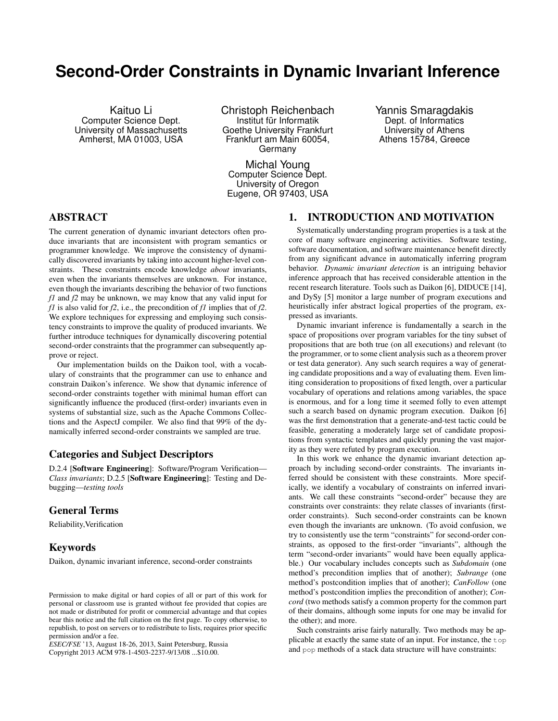# **Second-Order Constraints in Dynamic Invariant Inference**

Kaituo Li Computer Science Dept. University of Massachusetts Amherst, MA 01003, USA

Christoph Reichenbach Institut für Informatik Goethe University Frankfurt Frankfurt am Main 60054, Germany

Michal Young Computer Science Dept. University of Oregon Eugene, OR 97403, USA Yannis Smaragdakis Dept. of Informatics University of Athens Athens 15784, Greece

# ABSTRACT

The current generation of dynamic invariant detectors often produce invariants that are inconsistent with program semantics or programmer knowledge. We improve the consistency of dynamically discovered invariants by taking into account higher-level constraints. These constraints encode knowledge *about* invariants, even when the invariants themselves are unknown. For instance, even though the invariants describing the behavior of two functions *f1* and *f2* may be unknown, we may know that any valid input for *f1* is also valid for *f2*, i.e., the precondition of *f1* implies that of *f2*. We explore techniques for expressing and employing such consistency constraints to improve the quality of produced invariants. We further introduce techniques for dynamically discovering potential second-order constraints that the programmer can subsequently approve or reject.

Our implementation builds on the Daikon tool, with a vocabulary of constraints that the programmer can use to enhance and constrain Daikon's inference. We show that dynamic inference of second-order constraints together with minimal human effort can significantly influence the produced (first-order) invariants even in systems of substantial size, such as the Apache Commons Collections and the AspectJ compiler. We also find that 99% of the dynamically inferred second-order constraints we sampled are true.

## Categories and Subject Descriptors

D.2.4 [Software Engineering]: Software/Program Verification— *Class invariants*; D.2.5 [Software Engineering]: Testing and Debugging—*testing tools*

## General Terms

Reliability,Verification

# Keywords

Daikon, dynamic invariant inference, second-order constraints

*ESEC/FSE* '13, August 18-26, 2013, Saint Petersburg, Russia Copyright 2013 ACM 978-1-4503-2237-9/13/08 ...\$10.00.

# 1. INTRODUCTION AND MOTIVATION

Systematically understanding program properties is a task at the core of many software engineering activities. Software testing, software documentation, and software maintenance benefit directly from any significant advance in automatically inferring program behavior. *Dynamic invariant detection* is an intriguing behavior inference approach that has received considerable attention in the recent research literature. Tools such as Daikon [6], DIDUCE [14], and DySy [5] monitor a large number of program executions and heuristically infer abstract logical properties of the program, expressed as invariants.

Dynamic invariant inference is fundamentally a search in the space of propositions over program variables for the tiny subset of propositions that are both true (on all executions) and relevant (to the programmer, or to some client analysis such as a theorem prover or test data generator). Any such search requires a way of generating candidate propositions and a way of evaluating them. Even limiting consideration to propositions of fixed length, over a particular vocabulary of operations and relations among variables, the space is enormous, and for a long time it seemed folly to even attempt such a search based on dynamic program execution. Daikon [6] was the first demonstration that a generate-and-test tactic could be feasible, generating a moderately large set of candidate propositions from syntactic templates and quickly pruning the vast majority as they were refuted by program execution.

In this work we enhance the dynamic invariant detection approach by including second-order constraints. The invariants inferred should be consistent with these constraints. More specifically, we identify a vocabulary of constraints on inferred invariants. We call these constraints "second-order" because they are constraints over constraints: they relate classes of invariants (firstorder constraints). Such second-order constraints can be known even though the invariants are unknown. (To avoid confusion, we try to consistently use the term "constraints" for second-order constraints, as opposed to the first-order "invariants", although the term "second-order invariants" would have been equally applicable.) Our vocabulary includes concepts such as *Subdomain* (one method's precondition implies that of another); *Subrange* (one method's postcondition implies that of another); *CanFollow* (one method's postcondition implies the precondition of another); *Concord* (two methods satisfy a common property for the common part of their domains, although some inputs for one may be invalid for the other); and more.

Such constraints arise fairly naturally. Two methods may be applicable at exactly the same state of an input. For instance, the top and pop methods of a stack data structure will have constraints:

Permission to make digital or hard copies of all or part of this work for personal or classroom use is granted without fee provided that copies are not made or distributed for profit or commercial advantage and that copies bear this notice and the full citation on the first page. To copy otherwise, to republish, to post on servers or to redistribute to lists, requires prior specific permission and/or a fee.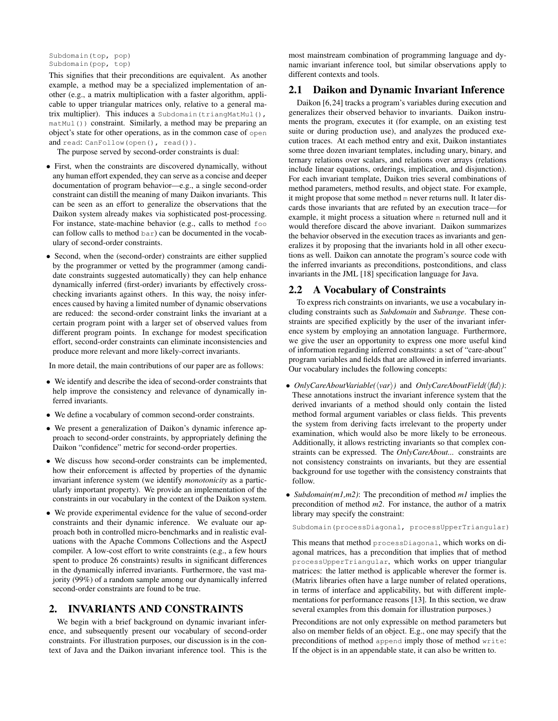#### Subdomain(top, pop) Subdomain(pop, top)

This signifies that their preconditions are equivalent. As another example, a method may be a specialized implementation of another (e.g., a matrix multiplication with a faster algorithm, applicable to upper triangular matrices only, relative to a general matrix multiplier). This induces a Subdomain(triangMatMul(), matMul()) constraint. Similarly, a method may be preparing an object's state for other operations, as in the common case of open and read: CanFollow(open(), read()).

The purpose served by second-order constraints is dual:

- First, when the constraints are discovered dynamically, without any human effort expended, they can serve as a concise and deeper documentation of program behavior—e.g., a single second-order constraint can distill the meaning of many Daikon invariants. This can be seen as an effort to generalize the observations that the Daikon system already makes via sophisticated post-processing. For instance, state-machine behavior (e.g., calls to method foo can follow calls to method bar) can be documented in the vocabulary of second-order constraints.
- Second, when the (second-order) constraints are either supplied by the programmer or vetted by the programmer (among candidate constraints suggested automatically) they can help enhance dynamically inferred (first-order) invariants by effectively crosschecking invariants against others. In this way, the noisy inferences caused by having a limited number of dynamic observations are reduced: the second-order constraint links the invariant at a certain program point with a larger set of observed values from different program points. In exchange for modest specification effort, second-order constraints can eliminate inconsistencies and produce more relevant and more likely-correct invariants.

In more detail, the main contributions of our paper are as follows:

- We identify and describe the idea of second-order constraints that help improve the consistency and relevance of dynamically inferred invariants.
- We define a vocabulary of common second-order constraints.
- We present a generalization of Daikon's dynamic inference approach to second-order constraints, by appropriately defining the Daikon "confidence" metric for second-order properties.
- We discuss how second-order constraints can be implemented, how their enforcement is affected by properties of the dynamic invariant inference system (we identify *monotonicity* as a particularly important property). We provide an implementation of the constraints in our vocabulary in the context of the Daikon system.
- We provide experimental evidence for the value of second-order constraints and their dynamic inference. We evaluate our approach both in controlled micro-benchmarks and in realistic evaluations with the Apache Commons Collections and the AspectJ compiler. A low-cost effort to write constraints (e.g., a few hours spent to produce 26 constraints) results in significant differences in the dynamically inferred invariants. Furthermore, the vast majority (99%) of a random sample among our dynamically inferred second-order constraints are found to be true.

# 2. INVARIANTS AND CONSTRAINTS

We begin with a brief background on dynamic invariant inference, and subsequently present our vocabulary of second-order constraints. For illustration purposes, our discussion is in the context of Java and the Daikon invariant inference tool. This is the

most mainstream combination of programming language and dynamic invariant inference tool, but similar observations apply to different contexts and tools.

# 2.1 Daikon and Dynamic Invariant Inference

Daikon [6,24] tracks a program's variables during execution and generalizes their observed behavior to invariants. Daikon instruments the program, executes it (for example, on an existing test suite or during production use), and analyzes the produced execution traces. At each method entry and exit, Daikon instantiates some three dozen invariant templates, including unary, binary, and ternary relations over scalars, and relations over arrays (relations include linear equations, orderings, implication, and disjunction). For each invariant template, Daikon tries several combinations of method parameters, method results, and object state. For example, it might propose that some method m never returns null. It later discards those invariants that are refuted by an execution trace—for example, it might process a situation where m returned null and it would therefore discard the above invariant. Daikon summarizes the behavior observed in the execution traces as invariants and generalizes it by proposing that the invariants hold in all other executions as well. Daikon can annotate the program's source code with the inferred invariants as preconditions, postconditions, and class invariants in the JML [18] specification language for Java.

# 2.2 A Vocabulary of Constraints

To express rich constraints on invariants, we use a vocabulary including constraints such as *Subdomain* and *Subrange*. These constraints are specified explicitly by the user of the invariant inference system by employing an annotation language. Furthermore, we give the user an opportunity to express one more useful kind of information regarding inferred constraints: a set of "care-about" program variables and fields that are allowed in inferred invariants. Our vocabulary includes the following concepts:

- *OnlyCareAboutVariable(\var\)* and *OnlyCareAboutField(\fld\):* These annotations instruct the invariant inference system that the derived invariants of a method should only contain the listed method formal argument variables or class fields. This prevents the system from deriving facts irrelevant to the property under examination, which would also be more likely to be erroneous. Additionally, it allows restricting invariants so that complex constraints can be expressed. The *OnlyCareAbout...* constraints are not consistency constraints on invariants, but they are essential background for use together with the consistency constraints that follow.
- *Subdomain(m1,m2)*: The precondition of method *m1* implies the precondition of method *m2*. For instance, the author of a matrix library may specify the constraint:

Subdomain(processDiagonal, processUpperTriangular)

This means that method processDiagonal, which works on diagonal matrices, has a precondition that implies that of method processUpperTriangular, which works on upper triangular matrices: the latter method is applicable wherever the former is. (Matrix libraries often have a large number of related operations, in terms of interface and applicability, but with different implementations for performance reasons [13]. In this section, we draw several examples from this domain for illustration purposes.)

Preconditions are not only expressible on method parameters but also on member fields of an object. E.g., one may specify that the preconditions of method append imply those of method write: If the object is in an appendable state, it can also be written to.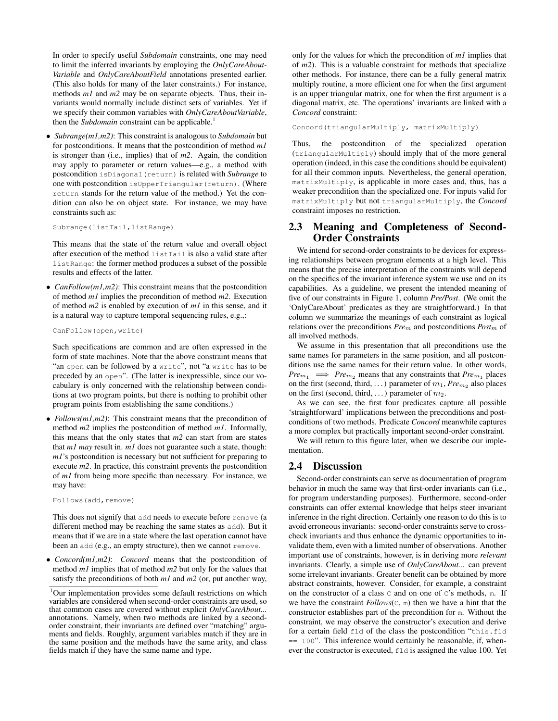In order to specify useful *Subdomain* constraints, one may need to limit the inferred invariants by employing the *OnlyCareAbout-Variable* and *OnlyCareAboutField* annotations presented earlier. (This also holds for many of the later constraints.) For instance, methods *m1* and *m2* may be on separate objects. Thus, their invariants would normally include distinct sets of variables. Yet if we specify their common variables with *OnlyCareAboutVariable*, then the *Subdomain* constraint can be applicable.<sup>1</sup>

• *Subrange(m1,m2)*: This constraint is analogous to *Subdomain* but for postconditions. It means that the postcondition of method *m1* is stronger than (i.e., implies) that of *m2*. Again, the condition may apply to parameter or return values—e.g., a method with postcondition isDiagonal(return) is related with *Subrange* to one with postcondition isUpperTriangular(return). (Where return stands for the return value of the method.) Yet the condition can also be on object state. For instance, we may have constraints such as:

Subrange(listTail, listRange)

This means that the state of the return value and overall object after execution of the method listTail is also a valid state after listRange: the former method produces a subset of the possible results and effects of the latter.

• *CanFollow(m1,m2)*: This constraint means that the postcondition of method *m1* implies the precondition of method *m2*. Execution of method *m2* is enabled by execution of *m1* in this sense, and it is a natural way to capture temporal sequencing rules, e.g.,:

```
CanFollow(open,write)
```
Such specifications are common and are often expressed in the form of state machines. Note that the above constraint means that "an open can be followed by a write", not "a write has to be preceded by an open". (The latter is inexpressible, since our vocabulary is only concerned with the relationship between conditions at two program points, but there is nothing to prohibit other program points from establishing the same conditions.)

• *Follows(m1,m2)*: This constraint means that the precondition of method *m2* implies the postcondition of method *m1*. Informally, this means that the only states that *m2* can start from are states that *m1 may* result in. *m1* does not guarantee such a state, though: *m1*'s postcondition is necessary but not sufficient for preparing to execute *m2*. In practice, this constraint prevents the postcondition of *m1* from being more specific than necessary. For instance, we may have:

Follows(add, remove)

This does not signify that add needs to execute before remove (a different method may be reaching the same states as add). But it means that if we are in a state where the last operation cannot have been an add (e.g., an empty structure), then we cannot remove.

• *Concord(m1,m2)*: *Concord* means that the postcondition of method *m1* implies that of method *m2* but only for the values that satisfy the preconditions of both *m1* and *m2* (or, put another way, only for the values for which the precondition of *m1* implies that of *m2*). This is a valuable constraint for methods that specialize other methods. For instance, there can be a fully general matrix multiply routine, a more efficient one for when the first argument is an upper triangular matrix, one for when the first argument is a diagonal matrix, etc. The operations' invariants are linked with a *Concord* constraint:

Concord(triangularMultiply, matrixMultiply)

Thus, the postcondition of the specialized operation (triangularMultiply) should imply that of the more general operation (indeed, in this case the conditions should be equivalent) for all their common inputs. Nevertheless, the general operation, matrixMultiply, is applicable in more cases and, thus, has a weaker precondition than the specialized one. For inputs valid for matrixMultiply but not triangularMultiply, the *Concord* constraint imposes no restriction.

## 2.3 Meaning and Completeness of Second-Order Constraints

We intend for second-order constraints to be devices for expressing relationships between program elements at a high level. This means that the precise interpretation of the constraints will depend on the specifics of the invariant inference system we use and on its capabilities. As a guideline, we present the intended meaning of five of our constraints in Figure 1, column *Pre/Post*. (We omit the 'OnlyCareAbout' predicates as they are straightforward.) In that column we summarize the meanings of each constraint as logical relations over the preconditions *Pre*<sup>m</sup> and postconditions *Post*<sup>m</sup> of all involved methods.

We assume in this presentation that all preconditions use the same names for parameters in the same position, and all postconditions use the same names for their return value. In other words,  $Pre_{m_1} \implies Pre_{m_2}$  means that any constraints that  $Pre_{m_1}$  places on the first (second, third, ...) parameter of  $m_1$ ,  $Pre_{m_2}$  also places on the first (second, third, ...) parameter of  $m_2$ .

As we can see, the first four predicates capture all possible 'straightforward' implications between the preconditions and postconditions of two methods. Predicate *Concord* meanwhile captures a more complex but practically important second-order constraint.

We will return to this figure later, when we describe our implementation.

## 2.4 Discussion

Second-order constraints can serve as documentation of program behavior in much the same way that first-order invariants can (i.e., for program understanding purposes). Furthermore, second-order constraints can offer external knowledge that helps steer invariant inference in the right direction. Certainly one reason to do this is to avoid erroneous invariants: second-order constraints serve to crosscheck invariants and thus enhance the dynamic opportunities to invalidate them, even with a limited number of observations. Another important use of constraints, however, is in deriving more *relevant* invariants. Clearly, a simple use of *OnlyCareAbout...* can prevent some irrelevant invariants. Greater benefit can be obtained by more abstract constraints, however. Consider, for example, a constraint on the constructor of a class  $\circ$  and on one of  $\circ$ 's methods, m. If we have the constraint *Follows*(C, m) then we have a hint that the constructor establishes part of the precondition for m. Without the constraint, we may observe the constructor's execution and derive for a certain field fld of the class the postcondition "this.fld == 100". This inference would certainly be reasonable, if, whenever the constructor is executed, fld is assigned the value 100. Yet

<sup>&</sup>lt;sup>1</sup>Our implementation provides some default restrictions on which variables are considered when second-order constraints are used, so that common cases are covered without explicit *OnlyCareAbout...* annotations. Namely, when two methods are linked by a secondorder constraint, their invariants are defined over "matching" arguments and fields. Roughly, argument variables match if they are in the same position and the methods have the same arity, and class fields match if they have the same name and type.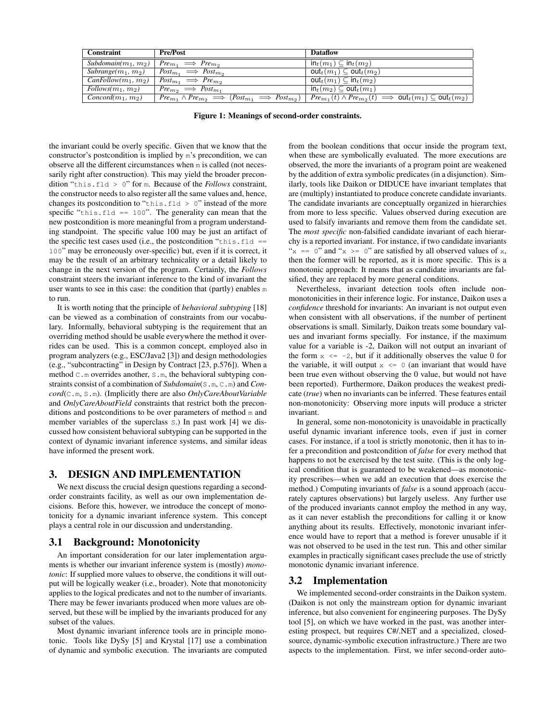| Constraint             | <b>Pre/Post</b>                                                        | <b>Dataflow</b>                                                                                              |
|------------------------|------------------------------------------------------------------------|--------------------------------------------------------------------------------------------------------------|
| Subdomain $(m_1, m_2)$ | $Pre_{m_1} \implies Pre_{m_2}$                                         | $\mathsf{in}_t(m_1) \subset \mathsf{in}_t(m_2)$                                                              |
| Subrange $(m_1, m_2)$  | $Post_{m_1} \implies Post_{m_2}$                                       | $\textsf{out}_t(m_1) \subseteq \textsf{out}_t(m_2)$                                                          |
| $CanFollow(m_1, m_2)$  | $Post_{m_1} \implies Pre_{m_2}$                                        | $\textsf{out}_{t}(m_1) \subseteq \textsf{in}_{t}(m_2)$                                                       |
| $Follows(m_1, m_2)$    | $Pre_{m_2} \implies Post_{m_1}$                                        | $\mathsf{in}_t(m_2) \subset \mathsf{out}_t(m_1)$                                                             |
| $Concord(m_1, m_2)$    | $Pre_{m_1} \wedge Pre_{m_2} \implies (Post_{m_1} \implies Post_{m_2})$ | $\mid \text{Pre}_{m_1}(t) \wedge \text{Pre}_{m_2}(t) \implies \text{out}_t(m_1) \subseteq \text{out}_t(m_2)$ |

Figure 1: Meanings of second-order constraints.

the invariant could be overly specific. Given that we know that the constructor's postcondition is implied by m's precondition, we can observe all the different circumstances when m is called (not necessarily right after construction). This may yield the broader precondition "this.fld > 0" for m. Because of the *Follows* constraint, the constructor needs to also register all the same values and, hence, changes its postcondition to "this.fld >  $0$ " instead of the more specific "this.fld  $== 100$ ". The generality can mean that the new postcondition is more meaningful from a program understanding standpoint. The specific value 100 may be just an artifact of the specific test cases used (i.e., the postcondition "this.fld == 100" may be erroneously over-specific) but, even if it is correct, it may be the result of an arbitrary technicality or a detail likely to change in the next version of the program. Certainly, the *Follows* constraint steers the invariant inference to the kind of invariant the user wants to see in this case: the condition that (partly) enables m to run.

It is worth noting that the principle of *behavioral subtyping* [18] can be viewed as a combination of constraints from our vocabulary. Informally, behavioral subtyping is the requirement that an overriding method should be usable everywhere the method it overrides can be used. This is a common concept, employed also in program analyzers (e.g., ESC/Java2 [3]) and design methodologies (e.g., "subcontracting" in Design by Contract [23, p.576]). When a method C.m overrides another, S.m, the behavioral subtyping constraints consist of a combination of *Subdomain*(S.m, C.m) and *Concord*(C.m, S.m). (Implicitly there are also *OnlyCareAboutVariable* and *OnlyCareAboutField* constraints that restrict both the preconditions and postconditions to be over parameters of method m and member variables of the superclass S.) In past work [4] we discussed how consistent behavioral subtyping can be supported in the context of dynamic invariant inference systems, and similar ideas have informed the present work.

#### 3. DESIGN AND IMPLEMENTATION

We next discuss the crucial design questions regarding a secondorder constraints facility, as well as our own implementation decisions. Before this, however, we introduce the concept of monotonicity for a dynamic invariant inference system. This concept plays a central role in our discussion and understanding.

#### 3.1 Background: Monotonicity

An important consideration for our later implementation arguments is whether our invariant inference system is (mostly) *monotonic*: If supplied more values to observe, the conditions it will output will be logically weaker (i.e., broader). Note that monotonicity applies to the logical predicates and not to the number of invariants. There may be fewer invariants produced when more values are observed, but these will be implied by the invariants produced for any subset of the values.

Most dynamic invariant inference tools are in principle monotonic. Tools like DySy [5] and Krystal [17] use a combination of dynamic and symbolic execution. The invariants are computed

from the boolean conditions that occur inside the program text, when these are symbolically evaluated. The more executions are observed, the more the invariants of a program point are weakened by the addition of extra symbolic predicates (in a disjunction). Similarly, tools like Daikon or DIDUCE have invariant templates that are (multiply) instantiated to produce concrete candidate invariants. The candidate invariants are conceptually organized in hierarchies from more to less specific. Values observed during execution are used to falsify invariants and remove them from the candidate set. The *most specific* non-falsified candidate invariant of each hierarchy is a reported invariant. For instance, if two candidate invariants " $x == 0$ " and " $x >= 0$ " are satisfied by all observed values of  $x$ , then the former will be reported, as it is more specific. This is a monotonic approach: It means that as candidate invariants are falsified, they are replaced by more general conditions.

Nevertheless, invariant detection tools often include nonmonotonicities in their inference logic. For instance, Daikon uses a *confidence* threshold for invariants: An invariant is not output even when consistent with all observations, if the number of pertinent observations is small. Similarly, Daikon treats some boundary values and invariant forms specially. For instance, if the maximum value for a variable is -2, Daikon will not output an invariant of the form  $x \le -2$ , but if it additionally observes the value 0 for the variable, it will output  $x \le 0$  (an invariant that would have been true even without observing the 0 value, but would not have been reported). Furthermore, Daikon produces the weakest predicate (*true*) when no invariants can be inferred. These features entail non-monotonicity: Observing more inputs will produce a stricter invariant.

In general, some non-monotonicity is unavoidable in practically useful dynamic invariant inference tools, even if just in corner cases. For instance, if a tool is strictly monotonic, then it has to infer a precondition and postcondition of *false* for every method that happens to not be exercised by the test suite. (This is the only logical condition that is guaranteed to be weakened—as monotonicity prescribes—when we add an execution that does exercise the method.) Computing invariants of *false* is a sound approach (accurately captures observations) but largely useless. Any further use of the produced invariants cannot employ the method in any way, as it can never establish the preconditions for calling it or know anything about its results. Effectively, monotonic invariant inference would have to report that a method is forever unusable if it was not observed to be used in the test run. This and other similar examples in practically significant cases preclude the use of strictly monotonic dynamic invariant inference.

#### 3.2 Implementation

We implemented second-order constraints in the Daikon system. (Daikon is not only the mainstream option for dynamic invariant inference, but also convenient for engineering purposes. The DySy tool [5], on which we have worked in the past, was another interesting prospect, but requires C#/.NET and a specialized, closedsource, dynamic-symbolic execution infrastructure.) There are two aspects to the implementation. First, we infer second-order auto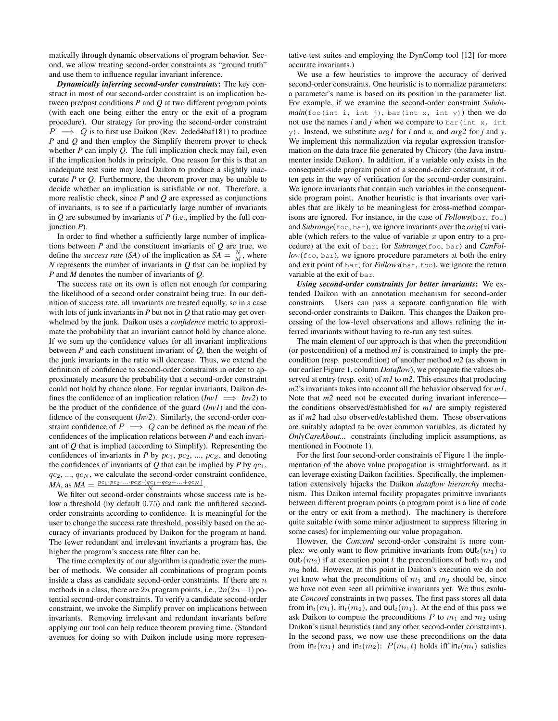matically through dynamic observations of program behavior. Second, we allow treating second-order constraints as "ground truth" and use them to influence regular invariant inference.

*Dynamically inferring second-order constraints*: The key construct in most of our second-order constraint is an implication between pre/post conditions *P* and *Q* at two different program points (with each one being either the entry or the exit of a program procedure). Our strategy for proving the second-order constraint  $P \implies Q$  is to first use Daikon (Rev. 2eded4baf181) to produce *P* and *Q* and then employ the Simplify theorem prover to check whether *P* can imply *Q*. The full implication check may fail, even if the implication holds in principle. One reason for this is that an inadequate test suite may lead Daikon to produce a slightly inaccurate *P* or *Q*. Furthermore, the theorem prover may be unable to decide whether an implication is satisfiable or not. Therefore, a more realistic check, since *P* and *Q* are expressed as conjunctions of invariants, is to see if a particularly large number of invariants in *Q* are subsumed by invariants of *P* (i.e., implied by the full conjunction *P*).

In order to find whether a sufficiently large number of implications between *P* and the constituent invariants of *Q* are true, we define the *success rate* (*SA*) of the implication as  $SA = \frac{N}{M}$ , where *N* represents the number of invariants in  $Q$  that can be implied by *P* and *M* denotes the number of invariants of *Q*.

The success rate on its own is often not enough for comparing the likelihood of a second order constraint being true. In our definition of success rate, all invariants are treated equally, so in a case with lots of junk invariants in *P* but not in *Q* that ratio may get overwhelmed by the junk. Daikon uses a *confidence* metric to approximate the probability that an invariant cannot hold by chance alone. If we sum up the confidence values for all invariant implications between  $P$  and each constituent invariant of  $Q$ , then the weight of the junk invariants in the ratio will decrease. Thus, we extend the definition of confidence to second-order constraints in order to approximately measure the probability that a second-order constraint could not hold by chance alone. For regular invariants, Daikon defines the confidence of an implication relation  $(InvI \implies Inv2)$  to be the product of the confidence of the guard (*Inv1*) and the confidence of the consequent (*Inv2*). Similarly, the second-order constraint confidence of  $P \implies Q$  can be defined as the mean of the confidences of the implication relations between *P* and each invariant of *Q* that is implied (according to Simplify). Representing the confidences of invariants in  $P$  by  $pc_1$ ,  $pc_2$ , ...,  $pc_Z$ , and denoting the confidences of invariants of  $Q$  that can be implied by  $P$  by  $qc_1$ ,  $qc_2$ , ...,  $qc_N$ , we calculate the second-order constraint confidence, *MA*, as  $MA = \frac{pc_1 \cdot pc_2 \cdot ... \cdot pc_Z \cdot (qc_1 + qc_2 + ... + qc_N)}{N}$ .

We filter out second-order constraints whose success rate is below a threshold (by default 0.75) and rank the unfiltered secondorder constraints according to confidence. It is meaningful for the user to change the success rate threshold, possibly based on the accuracy of invariants produced by Daikon for the program at hand. The fewer redundant and irrelevant invariants a program has, the higher the program's success rate filter can be.

The time complexity of our algorithm is quadratic over the number of methods. We consider all combinations of program points inside a class as candidate second-order constraints. If there are  $n$ methods in a class, there are  $2n$  program points, i.e.,  $2n(2n-1)$  potential second-order constraints. To verify a candidate second-order constraint, we invoke the Simplify prover on implications between invariants. Removing irrelevant and redundant invariants before applying our tool can help reduce theorem proving time. (Standard avenues for doing so with Daikon include using more representative test suites and employing the DynComp tool [12] for more accurate invariants.)

We use a few heuristics to improve the accuracy of derived second-order constraints. One heuristic is to normalize parameters: a parameter's name is based on its position in the parameter list. For example, if we examine the second-order constraint *Subdo* $main(foo(int i, int j), bar(int x, int y))$  then we do not use the names  $i$  and  $j$  when we compare to bar(int  $x$ , int y). Instead, we substitute *arg1* for *i* and *x*, and *arg2* for *j* and *y*. We implement this normalization via regular expression transformation on the data trace file generated by Chicory (the Java instrumenter inside Daikon). In addition, if a variable only exists in the consequent-side program point of a second-order constraint, it often gets in the way of verification for the second-order constraint. We ignore invariants that contain such variables in the consequentside program point. Another heuristic is that invariants over variables that are likely to be meaningless for cross-method comparisons are ignored. For instance, in the case of *Follows*(bar, foo) and *Subrange*( $f \circ \circ$ ,  $\circ$ ar), we ignore invariants over the *orig(x)* variable (which refers to the value of variable  $x$  upon entry to a procedure) at the exit of bar; for *Subrange*(foo, bar) and *CanFollow*(foo, bar), we ignore procedure parameters at both the entry and exit point of bar; for *Follows*(bar, foo), we ignore the return variable at the exit of bar.

*Using second-order constraints for better invariants*: We extended Daikon with an annotation mechanism for second-order constraints. Users can pass a separate configuration file with second-order constraints to Daikon. This changes the Daikon processing of the low-level observations and allows refining the inferred invariants without having to re-run any test suites.

The main element of our approach is that when the precondition (or postcondition) of a method *m1* is constrained to imply the precondition (resp. postcondition) of another method *m2* (as shown in our earlier Figure 1, column *Dataflow*), we propagate the values observed at entry (resp. exit) of *m1* to *m2*. This ensures that producing *m2*'s invariants takes into account all the behavior observed for *m1*. Note that *m2* need not be executed during invariant inference the conditions observed/established for *m1* are simply registered as if *m2* had also observed/established them. These observations are suitably adapted to be over common variables, as dictated by *OnlyCareAbout...* constraints (including implicit assumptions, as mentioned in Footnote 1).

For the first four second-order constraints of Figure 1 the implementation of the above value propagation is straightforward, as it can leverage existing Daikon facilities. Specifically, the implementation extensively hijacks the Daikon *dataflow hierarchy* mechanism. This Daikon internal facility propagates primitive invariants between different program points (a program point is a line of code or the entry or exit from a method). The machinery is therefore quite suitable (with some minor adjustment to suppress filtering in some cases) for implementing our value propagation.

However, the *Concord* second-order constraint is more complex: we only want to flow primitive invariants from  $\text{out}_t(m_1)$  to  $\text{out}_t(m_2)$  if at execution point t the preconditions of both  $m_1$  and  $m<sub>2</sub>$  hold. However, at this point in Daikon's execution we do not yet know what the preconditions of  $m_1$  and  $m_2$  should be, since we have not even seen all primitive invariants yet. We thus evaluate *Concord* constraints in two passes. The first pass stores all data from  $\ln_t(m_1)$ ,  $\ln_t(m_2)$ , and  $\text{out}_t(m_1)$ . At the end of this pass we ask Daikon to compute the preconditions P to  $m_1$  and  $m_2$  using Daikon's usual heuristics (and any other second-order constraints). In the second pass, we now use these preconditions on the data from  $\text{in}_t(m_1)$  and  $\text{in}_t(m_2)$ :  $P(m_i, t)$  holds iff  $\text{in}_t(m_i)$  satisfies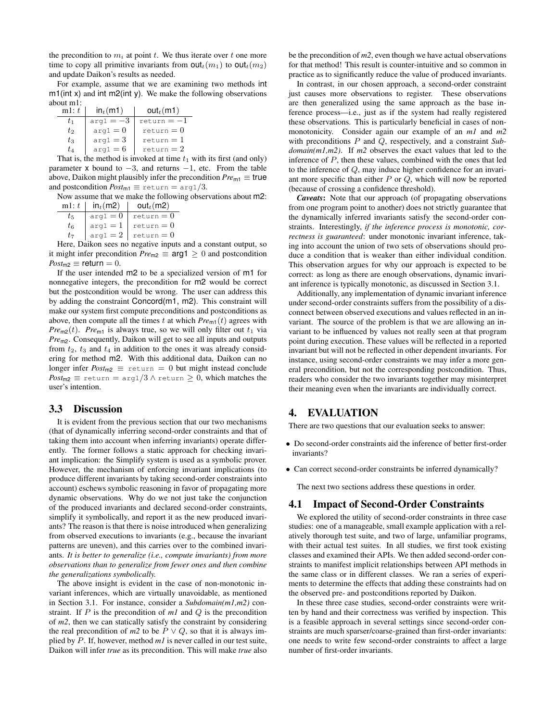the precondition to  $m_i$  at point t. We thus iterate over t one more time to copy all primitive invariants from  $\text{out}_t(m_1)$  to  $\text{out}_t(m_2)$ and update Daikon's results as needed.

For example, assume that we are examining two methods int m1(int x) and int m2(int y). We make the following observations about m1:

| $m!$ : t | $\mathsf{in}_t(\mathsf{m1})$ | $out_t(m1)$  |
|----------|------------------------------|--------------|
| tı       | $\text{arg1} = -3$           | $return =$   |
| t0       | $arg1 = 0$                   | $return = 0$ |
| $t_{3}$  | $arg1 = 3$                   | $return = 1$ |
| tл       | $\text{arg1} = 6$            | $return = 2$ |

That is, the method is invoked at time  $t_1$  with its first (and only) parameter x bound to  $-3$ , and returns  $-1$ , etc. From the table above, Daikon might plausibly infer the precondition  $Pre_{m1} \equiv$  true and postcondition  $Post_{m1} \equiv$  return =  $arg1/3$ .

Now assume that we make the following observations about m2:

| m1: $t$ | $in_t(m2)$        | $out_t(m2)$  |
|---------|-------------------|--------------|
| $t_{5}$ | $\alpha$ rq $1=0$ | $return = 0$ |
| $t_{6}$ | $\alpha$ rq $1=1$ | $return = 0$ |
| t7      | $arg1 = 2$        | $return = 0$ |
|         |                   |              |

Here, Daikon sees no negative inputs and a constant output, so it might infer precondition  $Pre_{m2} \equiv \text{arg}{1 \geq 0}$  and postcondition  $Post_{m2} \equiv return = 0$ .

If the user intended m2 to be a specialized version of m1 for nonnegative integers, the precondition for m2 would be correct but the postcondition would be wrong. The user can address this by adding the constraint Concord(m1, m2). This constraint will make our system first compute preconditions and postconditions as above, then compute all the times t at which  $Pre_{m1}(t)$  agrees with *Pre*<sub>m2</sub>(t). *Pre*<sub>m1</sub> is always true, so we will only filter out  $t_1$  via *Pre*m2. Consequently, Daikon will get to see all inputs and outputs from  $t_2$ ,  $t_3$  and  $t_4$  in addition to the ones it was already considering for method m2. With this additional data, Daikon can no longer infer  $Post_{m2} \equiv$  return = 0 but might instead conclude  $Post_{m2} \equiv$  return = arg1/3  $\land$  return > 0, which matches the user's intention.

## 3.3 Discussion

It is evident from the previous section that our two mechanisms (that of dynamically inferring second-order constraints and that of taking them into account when inferring invariants) operate differently. The former follows a static approach for checking invariant implication: the Simplify system is used as a symbolic prover. However, the mechanism of enforcing invariant implications (to produce different invariants by taking second-order constraints into account) eschews symbolic reasoning in favor of propagating more dynamic observations. Why do we not just take the conjunction of the produced invariants and declared second-order constraints, simplify it symbolically, and report it as the new produced invariants? The reason is that there is noise introduced when generalizing from observed executions to invariants (e.g., because the invariant patterns are uneven), and this carries over to the combined invariants. *It is better to generalize (i.e., compute invariants) from more observations than to generalize from fewer ones and then combine the generalizations symbolically.*

The above insight is evident in the case of non-monotonic invariant inferences, which are virtually unavoidable, as mentioned in Section 3.1. For instance, consider a *Subdomain(m1,m2)* constraint. If P is the precondition of *m1* and Q is the precondition of *m2*, then we can statically satisfy the constraint by considering the real precondition of  $m2$  to be  $P \vee Q$ , so that it is always implied by P. If, however, method *m1* is never called in our test suite, Daikon will infer *true* as its precondition. This will make *true* also be the precondition of *m2*, even though we have actual observations for that method! This result is counter-intuitive and so common in practice as to significantly reduce the value of produced invariants.

In contrast, in our chosen approach, a second-order constraint just causes more observations to register. These observations are then generalized using the same approach as the base inference process—i.e., just as if the system had really registered these observations. This is particularly beneficial in cases of nonmonotonicity. Consider again our example of an *m1* and *m2* with preconditions P and Q, respectively, and a constraint *Subdomain(m1,m2)*. If *m2* observes the exact values that led to the inference of P, then these values, combined with the ones that led to the inference of Q, may induce higher confidence for an invariant more specific than either  $P$  or  $Q$ , which will now be reported (because of crossing a confidence threshold).

*Caveats*: Note that our approach (of propagating observations from one program point to another) does not strictly guarantee that the dynamically inferred invariants satisfy the second-order constraints. Interestingly, *if the inference process is monotonic, correctness is guaranteed*: under monotonic invariant inference, taking into account the union of two sets of observations should produce a condition that is weaker than either individual condition. This observation argues for why our approach is expected to be correct: as long as there are enough observations, dynamic invariant inference is typically monotonic, as discussed in Section 3.1.

Additionally, any implementation of dynamic invariant inference under second-order constraints suffers from the possibility of a disconnect between observed executions and values reflected in an invariant. The source of the problem is that we are allowing an invariant to be influenced by values not really seen at that program point during execution. These values will be reflected in a reported invariant but will not be reflected in other dependent invariants. For instance, using second-order constraints we may infer a more general precondition, but not the corresponding postcondition. Thus, readers who consider the two invariants together may misinterpret their meaning even when the invariants are individually correct.

# 4. EVALUATION

There are two questions that our evaluation seeks to answer:

- Do second-order constraints aid the inference of better first-order invariants?
- Can correct second-order constraints be inferred dynamically?

The next two sections address these questions in order.

# 4.1 Impact of Second-Order Constraints

We explored the utility of second-order constraints in three case studies: one of a manageable, small example application with a relatively thorough test suite, and two of large, unfamiliar programs, with their actual test suites. In all studies, we first took existing classes and examined their APIs. We then added second-order constraints to manifest implicit relationships between API methods in the same class or in different classes. We ran a series of experiments to determine the effects that adding these constraints had on the observed pre- and postconditions reported by Daikon.

In these three case studies, second-order constraints were written by hand and their correctness was verified by inspection. This is a feasible approach in several settings since second-order constraints are much sparser/coarse-grained than first-order invariants: one needs to write few second-order constraints to affect a large number of first-order invariants.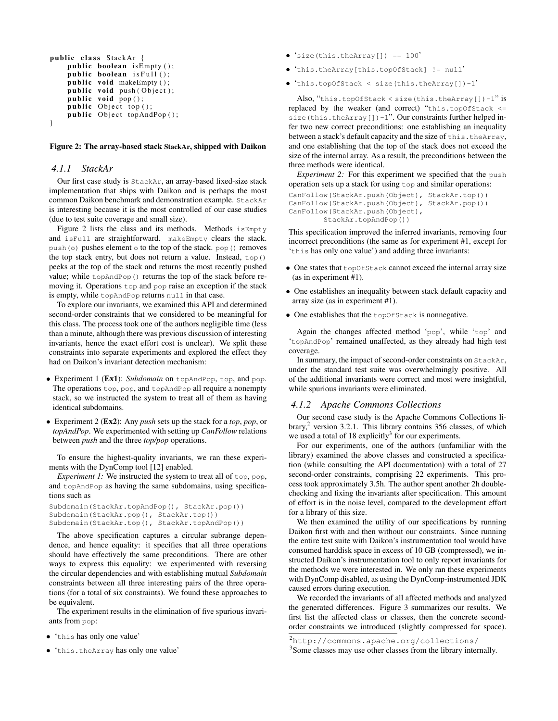```
public class StackAr {
    public boolean is Empty ();
    public boolean is Full();public void makeEmpty();
    public void push (Object);
    public void pop();
    public Object top();
    public Object topAndPop();
}
```
#### Figure 2: The array-based stack StackAr, shipped with Daikon

#### *4.1.1 StackAr*

Our first case study is StackAr, an array-based fixed-size stack implementation that ships with Daikon and is perhaps the most common Daikon benchmark and demonstration example. StackAr is interesting because it is the most controlled of our case studies (due to test suite coverage and small size).

Figure 2 lists the class and its methods. Methods isEmpty and isFull are straightforward. makeEmpty clears the stack. push(o) pushes element  $\circ$  to the top of the stack. pop() removes the top stack entry, but does not return a value. Instead,  $top()$ peeks at the top of the stack and returns the most recently pushed value; while topAndPop() returns the top of the stack before removing it. Operations top and pop raise an exception if the stack is empty, while topAndPop returns null in that case.

To explore our invariants, we examined this API and determined second-order constraints that we considered to be meaningful for this class. The process took one of the authors negligible time (less than a minute, although there was previous discussion of interesting invariants, hence the exact effort cost is unclear). We split these constraints into separate experiments and explored the effect they had on Daikon's invariant detection mechanism:

- Experiment 1 (Ex1): *Subdomain* on topAndPop, top, and pop. The operations top, pop, and topAndPop all require a nonempty stack, so we instructed the system to treat all of them as having identical subdomains.
- Experiment 2 (Ex2): Any *push* sets up the stack for a *top*, *pop*, or *topAndPop*. We experimented with setting up *CanFollow* relations between *push* and the three *top/pop* operations.

To ensure the highest-quality invariants, we ran these experiments with the DynComp tool [12] enabled.

*Experiment 1:* We instructed the system to treat all of top, pop, and topAndPop as having the same subdomains, using specifications such as

```
Subdomain(StackAr.topAndPop(), StackAr.pop())
Subdomain(StackAr.pop(), StackAr.top())
Subdomain(StackAr.top(), StackAr.topAndPop())
```
The above specification captures a circular subrange dependence, and hence equality: it specifies that all three operations should have effectively the same preconditions. There are other ways to express this equality: we experimented with reversing the circular dependencies and with establishing mutual *Subdomain* constraints between all three interesting pairs of the three operations (for a total of six constraints). We found these approaches to be equivalent.

The experiment results in the elimination of five spurious invariants from pop:

- 'this has only one value'
- 'this.theArray has only one value'
- $\bullet$  'size(this.theArray[]) == 100'
- 'this.theArray[this.topOfStack] != null'
- 'this.topOfStack < size(this.theArray[])-1'

Also, "this.topOfStack < size(this.theArray[])-1" is replaced by the weaker (and correct) "this.topOfStack <= size(this.theArray[])-1". Our constraints further helped infer two new correct preconditions: one establishing an inequality between a stack's default capacity and the size of this.theArray, and one establishing that the top of the stack does not exceed the size of the internal array. As a result, the preconditions between the three methods were identical.

*Experiment 2:* For this experiment we specified that the push operation sets up a stack for using top and similar operations:

CanFollow(StackAr.push(Object), StackAr.top()) CanFollow(StackAr.push(Object), StackAr.pop()) CanFollow(StackAr.push(Object), StackAr.topAndPop())

This specification improved the inferred invariants, removing four incorrect preconditions (the same as for experiment #1, except for 'this has only one value') and adding three invariants:

- One states that topOfStack cannot exceed the internal array size (as in experiment #1).
- One establishes an inequality between stack default capacity and array size (as in experiment #1).
- One establishes that the topOfStack is nonnegative.

Again the changes affected method 'pop', while 'top' and 'topAndPop' remained unaffected, as they already had high test coverage.

In summary, the impact of second-order constraints on StackAr, under the standard test suite was overwhelmingly positive. All of the additional invariants were correct and most were insightful, while spurious invariants were eliminated.

#### *4.1.2 Apache Commons Collections*

Our second case study is the Apache Commons Collections library,<sup>2</sup> version 3.2.1. This library contains 356 classes, of which we used a total of  $18$  explicitly<sup>3</sup> for our experiments.

For our experiments, one of the authors (unfamiliar with the library) examined the above classes and constructed a specification (while consulting the API documentation) with a total of 27 second-order constraints, comprising 22 experiments. This process took approximately 3.5h. The author spent another 2h doublechecking and fixing the invariants after specification. This amount of effort is in the noise level, compared to the development effort for a library of this size.

We then examined the utility of our specifications by running Daikon first with and then without our constraints. Since running the entire test suite with Daikon's instrumentation tool would have consumed harddisk space in excess of 10 GB (compressed), we instructed Daikon's instrumentation tool to only report invariants for the methods we were interested in. We only ran these experiments with DynComp disabled, as using the DynComp-instrumented JDK caused errors during execution.

We recorded the invariants of all affected methods and analyzed the generated differences. Figure 3 summarizes our results. We first list the affected class or classes, then the concrete secondorder constraints we introduced (slightly compressed for space).

<sup>2</sup>http://commons.apache.org/collections/

<sup>&</sup>lt;sup>3</sup> Some classes may use other classes from the library internally.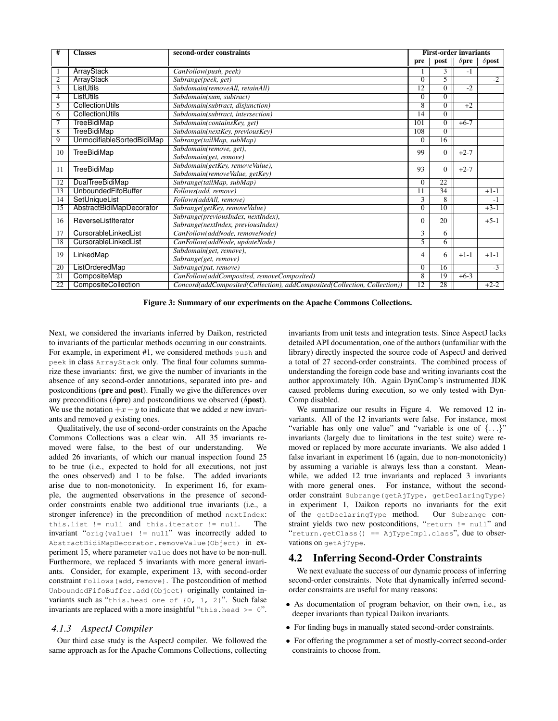| #               | <b>Classes</b>             | second-order constraints                                                  | <b>First-order invariants</b> |                |              |               |
|-----------------|----------------------------|---------------------------------------------------------------------------|-------------------------------|----------------|--------------|---------------|
|                 |                            |                                                                           | pre                           | post           | $\delta$ pre | $\delta$ post |
|                 | <b>ArrayStack</b>          | CanFollow(push, peek)                                                     |                               | 3              | $-1$         |               |
| 2               | <b>ArrayStack</b>          | Subrange(peek, get)                                                       | $\Omega$                      | 5              |              | $-2$          |
| 3               | ListUtils                  | Subdomain(removeAll, retainAll)                                           | $\overline{12}$               | $\Omega$       | $-2$         |               |
| 4               | ListUtils                  | Subdomain(sum, subtract)                                                  | $\mathbf{0}$                  | $\Omega$       |              |               |
| 5               | <b>CollectionUtils</b>     | Subdomain(subtract, disjunction)                                          | $\overline{8}$                | $\Omega$       | $+2$         |               |
| 6               | CollectionUtils            | Subdomain(subtract, intersection)                                         | 14                            | $\Omega$       |              |               |
| 7               | <b>TreeBidiMap</b>         | Subdomain(containsKey, get)                                               | 101                           | $\Omega$       | $+6-7$       |               |
| 8               | <b>TreeBidiMap</b>         | Subdomain(nextKey, previousKey)                                           | 108                           | $\overline{0}$ |              |               |
| 9               | UnmodifiableSortedBidiMap  | Subrange(tailMap, subMap)                                                 | $\Omega$                      | 16             |              |               |
| 10              | TreeBidiMap                | Subdomain(remove, get),                                                   | 99                            | $\Omega$       | $+2-7$       |               |
|                 |                            | Subdomain(get, remove)                                                    |                               |                |              |               |
| 11              | TreeBidiMap                | Subdomain(getKey, removeValue),                                           | 93                            | $\Omega$       | $+2-7$       |               |
|                 |                            | Subdomain(removeValue, getKey)                                            |                               |                |              |               |
| 12              | <b>DualTreeBidiMap</b>     | Subrange(tailMap, subMap)                                                 | $\Omega$                      | 22             |              |               |
| 13              | <b>UnboundedFifoBuffer</b> | Follows(add, remove)                                                      | 11                            | 34             |              | $+1-1$        |
| $\overline{14}$ | SetUniqueList              | Follows(addAll, remove)                                                   | $\overline{\mathbf{3}}$       | $\overline{8}$ |              | $-1$          |
| 15              | AbstractBidiMapDecorator   | Subrange(getKey, removeValue)                                             | $\Omega$                      | 10             |              | $+3-1$        |
| 16              | ReverseListIterator        | Subrange(previousIndex, nextIndex),                                       | $\Omega$                      | 20             |              | $+5-1$        |
|                 |                            | Subrange(nextIndex, previousIndex)                                        |                               |                |              |               |
| 17              | CursorableLinkedList       | CanFollow(addNode, removeNode)                                            | 3                             | 6              |              |               |
| 18              | CursorableLinkedList       | CanFollow(addNode, updateNode)                                            | 5                             | 6              |              |               |
| 19              | LinkedMap                  | Subdomain(get, remove),                                                   | $\overline{4}$                | 6              | $+1-1$       | $+1-1$        |
|                 |                            | Subrange(get, remove)                                                     |                               |                |              |               |
| 20              | ListOrderedMap             | Subrange(put, remove)                                                     | $\Omega$                      | 16             |              | $-3$          |
| 21              | CompositeMap               | CanFollow(addComposited, removeComposited)                                | 8                             | 19             | $+6-3$       |               |
| 22              | CompositeCollection        | Concord(addComposited(Collection), addComposited(Collection, Collection)) | 12                            | 28             |              | $+2-2$        |

Figure 3: Summary of our experiments on the Apache Commons Collections.

Next, we considered the invariants inferred by Daikon, restricted to invariants of the particular methods occurring in our constraints. For example, in experiment #1, we considered methods push and peek in class ArrayStack only. The final four columns summarize these invariants: first, we give the number of invariants in the absence of any second-order annotations, separated into pre- and postconditions (pre and post). Finally we give the differences over any preconditions ( $\delta$ pre) and postconditions we observed ( $\delta$ post). We use the notation  $+x-y$  to indicate that we added x new invariants and removed  $y$  existing ones.

Qualitatively, the use of second-order constraints on the Apache Commons Collections was a clear win. All 35 invariants removed were false, to the best of our understanding. We added 26 invariants, of which our manual inspection found 25 to be true (i.e., expected to hold for all executions, not just the ones observed) and 1 to be false. The added invariants arise due to non-monotonicity. In experiment 16, for example, the augmented observations in the presence of secondorder constraints enable two additional true invariants (i.e., a stronger inference) in the precondition of method nextIndex: this.list != null and this.iterator != null. The invariant "orig(value) != null" was incorrectly added to AbstractBidiMapDecorator.removeValue(Object) in experiment 15, where parameter value does not have to be non-null. Furthermore, we replaced 5 invariants with more general invariants. Consider, for example, experiment 13, with second-order constraint Follows (add, remove). The postcondition of method UnboundedFifoBuffer.add(Object) originally contained invariants such as "this.head one of  $\{0, 1, 2\}$ ". Such false invariants are replaced with a more insightful "this.head >= 0".

#### *4.1.3 AspectJ Compiler*

Our third case study is the AspectJ compiler. We followed the same approach as for the Apache Commons Collections, collecting invariants from unit tests and integration tests. Since AspectJ lacks detailed API documentation, one of the authors (unfamiliar with the library) directly inspected the source code of AspectJ and derived a total of 27 second-order constraints. The combined process of understanding the foreign code base and writing invariants cost the author approximately 10h. Again DynComp's instrumented JDK caused problems during execution, so we only tested with Dyn-Comp disabled.

We summarize our results in Figure 4. We removed 12 invariants. All of the 12 invariants were false. For instance, most "variable has only one value" and "variable is one of  $\{ \ldots \}$ " invariants (largely due to limitations in the test suite) were removed or replaced by more accurate invariants. We also added 1 false invariant in experiment 16 (again, due to non-monotonicity) by assuming a variable is always less than a constant. Meanwhile, we added 12 true invariants and replaced 3 invariants with more general ones. For instance, without the secondorder constraint Subrange(getAjType, getDeclaringType) in experiment 1, Daikon reports no invariants for the exit of the getDeclaringType method. Our Subrange constraint yields two new postconditions, "return != null" and "return.getClass() ==  $AjTypeImpl.class"$ , due to observations on getAjType.

## 4.2 Inferring Second-Order Constraints

We next evaluate the success of our dynamic process of inferring second-order constraints. Note that dynamically inferred secondorder constraints are useful for many reasons:

- As documentation of program behavior, on their own, i.e., as deeper invariants than typical Daikon invariants.
- For finding bugs in manually stated second-order constraints.
- For offering the programmer a set of mostly-correct second-order constraints to choose from.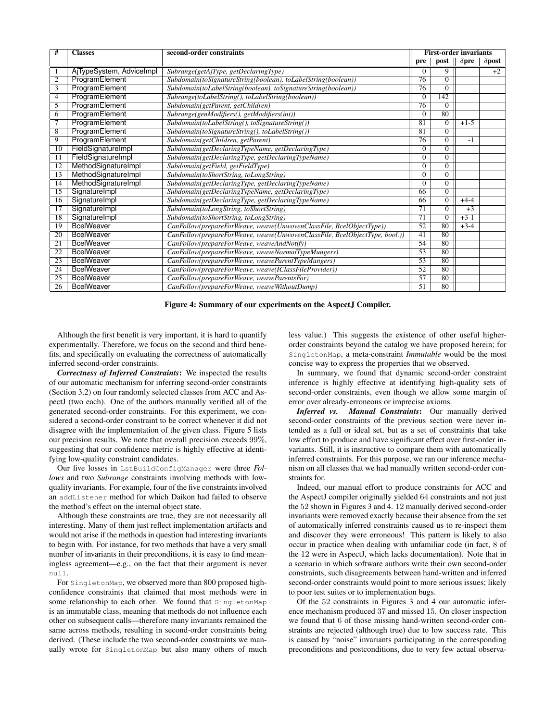| #                       | <b>Classes</b>           | second-order constraints                                                   | <b>First-order invariants</b> |                |              |               |
|-------------------------|--------------------------|----------------------------------------------------------------------------|-------------------------------|----------------|--------------|---------------|
|                         |                          |                                                                            | pre                           | post           | $\delta$ pre | $\delta$ post |
|                         | AjTypeSystem, AdviceImpl | Subrange(getAjType, getDeclaringType)                                      | $\Omega$                      | 9              |              | $+2$          |
| $\boldsymbol{2}$        | ProgramElement           | Subdomain(toSignatureString(boolean), toLabelString(boolean))              | 76                            | 0              |              |               |
| $\overline{\mathbf{3}}$ | ProgramElement           | Subdomain(toLabelString(boolean), toSignatureString(boolean))              | 76                            | $\Omega$       |              |               |
| 4                       | ProgramElement           | Subrange(toLabelString(), toLabelString(boolean))                          | $\Omega$                      | 142            |              |               |
| 5                       | ProgramElement           | Subdomain(getParent, getChildren)                                          | 76                            | $\Omega$       |              |               |
| 6                       | ProgramElement           | Subrange(genModifiers(), getModifiers(int))                                | $\Omega$                      | 80             |              |               |
| 7                       | ProgramElement           | Subdomain(toLabelString(), toSignatureString())                            | 81                            | 0              | $+1-5$       |               |
| $\overline{8}$          | ProgramElement           | Subdomain(toSignatureString(), toLabelString())                            | 81                            | $\overline{0}$ |              |               |
| $\overline{9}$          | ProgramElement           | Subdomain(getChildren, getParent)                                          | 76                            | $\Omega$       | $-1$         |               |
| 10                      | FieldSignatureImpl       | Subdomain(getDeclaringTypeName, getDeclaringType)                          | 0                             | $\Omega$       |              |               |
| 11                      | FieldSignatureImpl       | Subdomain(getDeclaringType, getDeclaringTypeName)                          | $\Omega$                      | $\Omega$       |              |               |
| 12                      | MethodSignatureImpl      | Subdomain(getField, getFieldType)                                          | $\Omega$                      | $\overline{0}$ |              |               |
| $\overline{13}$         | MethodSignatureImpl      | Subdomain(toShortString, toLongString)                                     | $\Omega$                      | $\Omega$       |              |               |
| 14                      | MethodSignatureImpl      | Subdomain(getDeclaringType, getDeclaringTypeName)                          | $\Omega$                      | $\Omega$       |              |               |
| 15                      | SignatureImpl            | Subdomain(getDeclaringTypeName, getDeclaringType)                          | 66                            | 0              |              |               |
| 16                      | SignatureImpl            | Subdomain(getDeclaringType, getDeclaringTypeName)                          | 66                            | $\overline{0}$ | $+4-4$       |               |
| 17                      | SignatureImpl            | Subdomain(toLongString, toShortString)                                     | 71                            | $\Omega$       | $+3$         |               |
| 18                      | SignatureImpl            | Subdomain(toShortString, toLongString)                                     | $\overline{71}$               | $\Omega$       | $+3-1$       |               |
| 19                      | <b>BcelWeaver</b>        | CanFollow(prepareForWeave, weave(UnwovenClassFile, BcelObjectType))        | 52                            | 80             | $+3-4$       |               |
| 20                      | <b>BcelWeaver</b>        | CanFollow(prepareForWeave, weave(UnwovenClassFile, BcelObjectType, bool.)) | 41                            | 80             |              |               |
| 21                      | <b>BcelWeaver</b>        | CanFollow(prepareForWeave, weaveAndNotify)                                 | 54                            | 80             |              |               |
| $\overline{22}$         | <b>BcelWeaver</b>        | CanFollow(prepareForWeave, weaveNormalTypeMungers)                         | 53                            | 80             |              |               |
| 23                      | <b>BcelWeaver</b>        | CanFollow(prepareForWeave, weaveParentTypeMungers)                         | 53                            | 80             |              |               |
| 24                      | <b>BcelWeaver</b>        | CanFollow(prepareForWeave, weave(IClassFileProvider))                      | $\overline{52}$               | 80             |              |               |
| 25                      | <b>BcelWeaver</b>        | CanFollow(prepareForWeave, weaveParentsFor)                                | 57                            | 80             |              |               |
| 26                      | <b>BcelWeaver</b>        | CanFollow(prepareForWeave, weaveWithoutDump)                               | $\overline{51}$               | 80             |              |               |

Figure 4: Summary of our experiments on the AspectJ Compiler.

Although the first benefit is very important, it is hard to quantify experimentally. Therefore, we focus on the second and third benefits, and specifically on evaluating the correctness of automatically inferred second-order constraints.

*Correctness of Inferred Constraints*: We inspected the results of our automatic mechanism for inferring second-order constraints (Section 3.2) on four randomly selected classes from ACC and AspectJ (two each). One of the authors manually verified all of the generated second-order constraints. For this experiment, we considered a second-order constraint to be correct whenever it did not disagree with the implementation of the given class. Figure 5 lists our precision results. We note that overall precision exceeds 99%, suggesting that our confidence metric is highly effective at identifying low-quality constraint candidates.

Our five losses in LstBuildConfigManager were three *Follows* and two *Subrange* constraints involving methods with lowquality invariants. For example, four of the five constraints involved an addListener method for which Daikon had failed to observe the method's effect on the internal object state.

Although these constraints are true, they are not necessarily all interesting. Many of them just reflect implementation artifacts and would not arise if the methods in question had interesting invariants to begin with. For instance, for two methods that have a very small number of invariants in their preconditions, it is easy to find meaningless agreement—e.g., on the fact that their argument is never null.

For SingletonMap, we observed more than 800 proposed highconfidence constraints that claimed that most methods were in some relationship to each other. We found that SingletonMap is an immutable class, meaning that methods do not influence each other on subsequent calls—therefore many invariants remained the same across methods, resulting in second-order constraints being derived. (These include the two second-order constraints we manually wrote for SingletonMap but also many others of much

less value.) This suggests the existence of other useful higherorder constraints beyond the catalog we have proposed herein; for SingletonMap, a meta-constraint *Immutable* would be the most concise way to express the properties that we observed.

In summary, we found that dynamic second-order constraint inference is highly effective at identifying high-quality sets of second-order constraints, even though we allow some margin of error over already-erroneous or imprecise axioms.

*Inferred vs. Manual Constraints*: Our manually derived second-order constraints of the previous section were never intended as a full or ideal set, but as a set of constraints that take low effort to produce and have significant effect over first-order invariants. Still, it is instructive to compare them with automatically inferred constraints. For this purpose, we ran our inference mechanism on all classes that we had manually written second-order constraints for.

Indeed, our manual effort to produce constraints for ACC and the AspectJ compiler originally yielded 64 constraints and not just the 52 shown in Figures 3 and 4. 12 manually derived second-order invariants were removed exactly because their absence from the set of automatically inferred constraints caused us to re-inspect them and discover they were erroneous! This pattern is likely to also occur in practice when dealing with unfamiliar code (in fact, 8 of the 12 were in AspectJ, which lacks documentation). Note that in a scenario in which software authors write their own second-order constraints, such disagreements between hand-written and inferred second-order constraints would point to more serious issues; likely to poor test suites or to implementation bugs.

Of the 52 constraints in Figures 3 and 4 our automatic inference mechanism produced 37 and missed 15. On closer inspection we found that 6 of those missing hand-written second-order constraints are rejected (although true) due to low success rate. This is caused by "noise" invariants participating in the corresponding preconditions and postconditions, due to very few actual observa-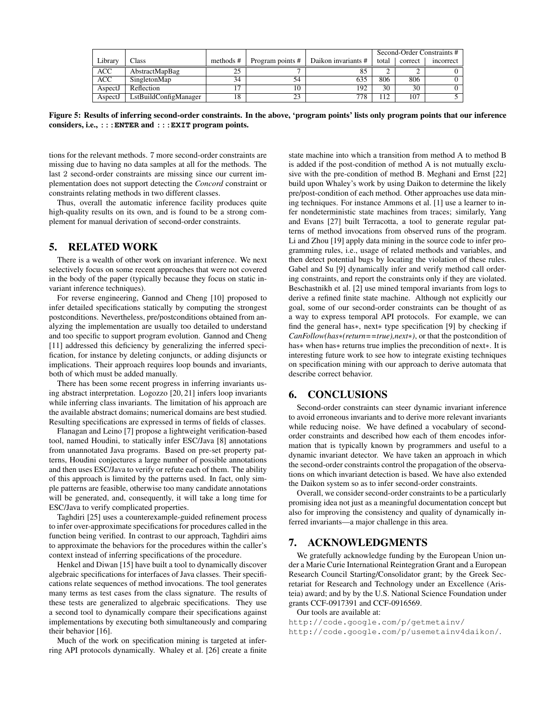|            |                              |             |                    |                     | Second-Order Constraints # |         |           |
|------------|------------------------------|-------------|--------------------|---------------------|----------------------------|---------|-----------|
| Library    | Class                        | methods $#$ | Program points $#$ | Daikon invariants # | total                      | correct | incorrect |
| <b>ACC</b> | AbstractMapBag               |             |                    |                     |                            |         |           |
| <b>ACC</b> | SingletonMap                 | 34          | 54                 | 635                 | 806                        | 806     |           |
| AspectJ    | Reflection                   |             | 10                 | 192                 | 30                         | 30      |           |
| AspectJ    | <b>LstBuildConfigManager</b> |             | 23                 | 778                 | $1^{\circ}$                | 107     |           |

Figure 5: Results of inferring second-order constraints. In the above, 'program points' lists only program points that our inference considers, i.e., **:::ENTER** and **:::EXIT** program points.

tions for the relevant methods. 7 more second-order constraints are missing due to having no data samples at all for the methods. The last 2 second-order constraints are missing since our current implementation does not support detecting the *Concord* constraint or constraints relating methods in two different classes.

Thus, overall the automatic inference facility produces quite high-quality results on its own, and is found to be a strong complement for manual derivation of second-order constraints.

## 5. RELATED WORK

There is a wealth of other work on invariant inference. We next selectively focus on some recent approaches that were not covered in the body of the paper (typically because they focus on static invariant inference techniques).

For reverse engineering, Gannod and Cheng [10] proposed to infer detailed specifications statically by computing the strongest postconditions. Nevertheless, pre/postconditions obtained from analyzing the implementation are usually too detailed to understand and too specific to support program evolution. Gannod and Cheng [11] addressed this deficiency by generalizing the inferred specification, for instance by deleting conjuncts, or adding disjuncts or implications. Their approach requires loop bounds and invariants, both of which must be added manually.

There has been some recent progress in inferring invariants using abstract interpretation. Logozzo [20, 21] infers loop invariants while inferring class invariants. The limitation of his approach are the available abstract domains; numerical domains are best studied. Resulting specifications are expressed in terms of fields of classes.

Flanagan and Leino [7] propose a lightweight verification-based tool, named Houdini, to statically infer ESC/Java [8] annotations from unannotated Java programs. Based on pre-set property patterns, Houdini conjectures a large number of possible annotations and then uses ESC/Java to verify or refute each of them. The ability of this approach is limited by the patterns used. In fact, only simple patterns are feasible, otherwise too many candidate annotations will be generated, and, consequently, it will take a long time for ESC/Java to verify complicated properties.

Taghdiri [25] uses a counterexample-guided refinement process to infer over-approximate specifications for procedures called in the function being verified. In contrast to our approach, Taghdiri aims to approximate the behaviors for the procedures within the caller's context instead of inferring specifications of the procedure.

Henkel and Diwan [15] have built a tool to dynamically discover algebraic specifications for interfaces of Java classes. Their specifications relate sequences of method invocations. The tool generates many terms as test cases from the class signature. The results of these tests are generalized to algebraic specifications. They use a second tool to dynamically compare their specifications against implementations by executing both simultaneously and comparing their behavior [16].

Much of the work on specification mining is targeted at inferring API protocols dynamically. Whaley et al. [26] create a finite state machine into which a transition from method A to method B is added if the post-condition of method A is not mutually exclusive with the pre-condition of method B. Meghani and Ernst [22] build upon Whaley's work by using Daikon to determine the likely pre/post-condition of each method. Other approaches use data mining techniques. For instance Ammons et al. [1] use a learner to infer nondeterministic state machines from traces; similarly, Yang and Evans [27] built Terracotta, a tool to generate regular patterns of method invocations from observed runs of the program. Li and Zhou [19] apply data mining in the source code to infer programming rules, i.e., usage of related methods and variables, and then detect potential bugs by locating the violation of these rules. Gabel and Su [9] dynamically infer and verify method call ordering constraints, and report the constraints only if they are violated. Beschastnikh et al. [2] use mined temporal invariants from logs to derive a refined finite state machine. Although not explicitly our goal, some of our second-order constraints can be thought of as a way to express temporal API protocols. For example, we can find the general has∗, next∗ type specification [9] by checking if *CanFollow(has*∗*(return==true),next*∗*)*, or that the postcondition of has∗ when has∗ returns true implies the precondition of next∗. It is interesting future work to see how to integrate existing techniques on specification mining with our approach to derive automata that describe correct behavior.

# 6. CONCLUSIONS

Second-order constraints can steer dynamic invariant inference to avoid erroneous invariants and to derive more relevant invariants while reducing noise. We have defined a vocabulary of secondorder constraints and described how each of them encodes information that is typically known by programmers and useful to a dynamic invariant detector. We have taken an approach in which the second-order constraints control the propagation of the observations on which invariant detection is based. We have also extended the Daikon system so as to infer second-order constraints.

Overall, we consider second-order constraints to be a particularly promising idea not just as a meaningful documentation concept but also for improving the consistency and quality of dynamically inferred invariants—a major challenge in this area.

# 7. ACKNOWLEDGMENTS

We gratefully acknowledge funding by the European Union under a Marie Curie International Reintegration Grant and a European Research Council Starting/Consolidator grant; by the Greek Secretariat for Research and Technology under an Excellence (Aristeia) award; and by by the U.S. National Science Foundation under grants CCF-0917391 and CCF-0916569.

Our tools are available at:

http://code.google.com/p/getmetainv/ http://code.google.com/p/usemetainv4daikon/.